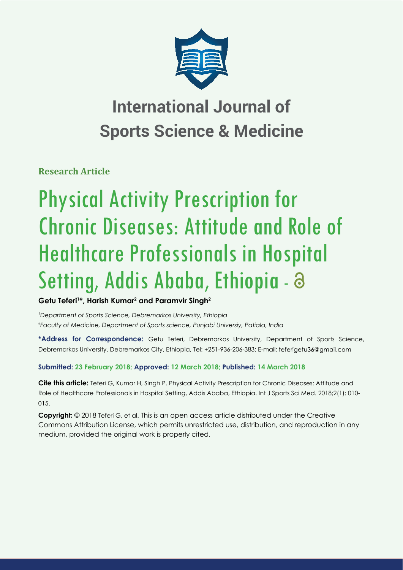

## **International Journal of Sports Science & Medicine**

**Research Article**

# Physical Activity Prescription for Chronic Diseases: Attitude and Role of Healthcare Professionals in Hospital Setting, Addis Ababa, Ethiopia - a

**Getu Teferi1 \*, Harish Kumar2 and Paramvir Singh2**

*1 Department of Sports Science, Debremarkos University, Ethiopia 2 Faculty of Medicine, Department of Sports science, Punjabi Universiy, Patiala, India*

**\*Address for Correspondence:** Getu Teferi, Debremarkos University, Department of Sports Science, Debremarkos University, Debremarkos City, Ethiopia, Tel: +251-936-206-383; E-mail:

### **Submitted: 23 February 2018; Approved: 12 March 2018; Published: 14 March 2018**

**Cite this article:** Teferi G, Kumar H, Singh P. Physical Activity Prescription for Chronic Diseases: Attitude and Role of Healthcare Professionals in Hospital Setting, Addis Ababa, Ethiopia. Int J Sports Sci Med. 2018;2(1): 010- 015.

**Copyright:** © 2018 Teferi G, et al. This is an open access article distributed under the Creative Commons Attribution License, which permits unrestricted use, distribution, and reproduction in any medium, provided the original work is properly cited.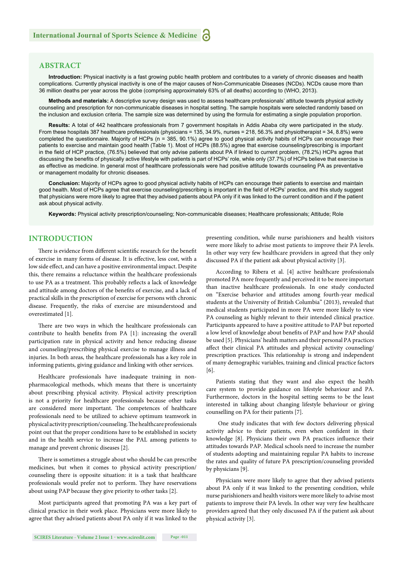#### **ABSTRACT**

**Introduction:** Physical inactivity is a fast growing public health problem and contributes to a variety of chronic diseases and health complications. Currently physical inactivity is one of the major causes of Non-Communicable Diseases (NCDs). NCDs cause more than 36 million deaths per year across the globe (comprising approximately 63% of all deaths) according to (WHO, 2013).

**Methods and materials:** A descriptive survey design was used to assess healthcare professionals' attitude towards physical activity counseling and prescription for non-communicable diseases in hospital setting. The sample hospitals were selected randomly based on the inclusion and exclusion criteria. The sample size was determined by using the formula for estimating a single population proportion.

**Results:** A total of 442 healthcare professionals from 7 government hospitals in Addis Ababa city were participated in the study. From these hospitals 387 healthcare professionals (physicians = 135, 34.9%, nurses = 218, 56.3% and physiotherapist = 34, 8.8%) were completed the questionnaire. Majority of HCPs (n = 385, 90.1%) agree to good physical activity habits of HCPs can encourage their patients to exercise and maintain good health (Table 1). Most of HCPs (88.5%) agree that exercise counseling/prescribing is important in the field of HCP practice, (76.5%) believed that only advise patients about PA if linked to current problem, (78.2%) HCPs agree that discussing the benefits of physically active lifestyle with patients is part of HCPs' role, while only (37.7%) of HCPs believe that exercise is as effective as medicine. In general most of healthcare professionals were had positive attitude towards counseling PA as preventative or management modality for chronic diseases.

**Conclusion:** Majority of HCPs agree to good physical activity habits of HCPs can encourage their patients to exercise and maintain good health. Most of HCPs agree that exercise counseling/prescribing is important in the field of HCPs' practice, and this study suggest that physicians were more likely to agree that they advised patients about PA only if it was linked to the current condition and if the patient ask about physical activity.

**Keywords:** Physical activity prescription/counseling; Non-communicable diseases; Healthcare professionals; Attitude; Role

#### **INTRODUCTION**

There is evidence from different scientific research for the benefit of exercise in many forms of disease. It is effective, less cost, with a low side effect, and can have a positive environmental impact. Despite this, there remains a reluctance within the healthcare professionals to use PA as a treatment. This probably reflects a lack of knowledge and attitude among doctors of the benefits of exercise, and a lack of practical skills in the prescription of exercise for persons with chronic disease. Frequently, the risks of exercise are misunderstood and overestimated [1].

There are two ways in which the healthcare professionals can contribute to health benefits from PA  $[1]$ : increasing the overall participation rate in physical activity and hence reducing disease and counseling/prescribing physical exercise to manage illness and injuries. In both areas, the healthcare professionals has a key role in informing patients, giving guidance and linking with other services.

Healthcare professionals have inadequate training in nonpharmacological methods, which means that there is uncertainty about prescribing physical activity. Physical activity prescription is not a priority for healthcare professionals because other tasks are considered more important. The competences of healthcare professionals need to be utilized to achieve optimum teamwork in physical activity prescription/counseling. The healthcare professionals point out that the proper conditions have to be established in society and in the health service to increase the PAL among patients to manage and prevent chronic diseases [2].

There is sometimes a struggle about who should be can prescribe medicines, but when it comes to physical activity prescription/ counseling there is opposite situation: it is a task that healthcare professionals would prefer not to perform. They have reservations about using PAP because they give priority to other tasks [2].

Most participants agreed that promoting PA was a key part of clinical practice in their work place. Physicians were more likely to agree that they advised patients about PA only if it was linked to the

were more likely to advise most patients to improve their PA levels. In other way very few healthcare providers in agreed that they only discussed PA if the patient ask about physical activity [3].

presenting condition, while nurse parishioners and health visitors

According to Ribera et al. [4] active healthcare professionals promoted PA more frequently and perceived it to be more important than inactive healthcare professionals. In one study conducted on "Exercise behavior and attitudes among fourth-year medical students at the University of British Columbia" (2013), revealed that medical students participated in more PA were more likely to view PA counseling as highly relevant to their intended clinical practice. Participants appeared to have a positive attitude to PAP but reported a low level of knowledge about benefits of PAP and how PAP should be used [5]. Physicians' health matters and their personal PA practices affect their clinical PA attitudes and physical activity counseling/ prescription practices. This relationship is strong and independent of many demographic variables, training and clinical practice factors [6].

Patients stating that they want and also expect the health care system to provide guidance on lifestyle behaviour and PA. Furthermore, doctors in the hospital setting seems to be the least interested in talking about changing lifestyle behaviour or giving counselling on PA for their patients [7].

 One study indicates that with few doctors delivering physical activity advice to their patients, even when confident in their knowledge [8]. Physicians their own PA practices influence their attitudes towards PAP. Medical schools need to increase the number of students adopting and maintaining regular PA habits to increase the rates and quality of future PA prescription/counseling provided by physicians [9].

Physicians were more likely to agree that they advised patients about PA only if it was linked to the presenting condition, while nurse parishioners and health visitors were more likely to advise most patients to improve their PA levels. In other way very few healthcare providers agreed that they only discussed PA if the patient ask about physical activity [3].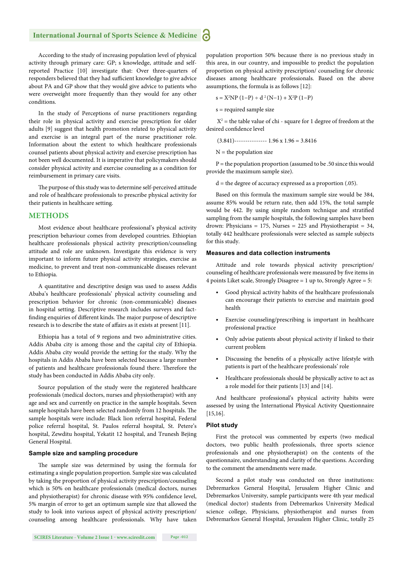#### **International Journal of Sports Science & Medicine**

According to the study of increasing population level of physical activity through primary care: GP; s knowledge, attitude and selfreported Practice [10] investigate that: Over three-quarters of responders believed that they had sufficient knowledge to give advice about PA and GP show that they would give advice to patients who were overweight more frequently than they would for any other conditions.

In the study of Perceptions of nurse practitioners regarding their role in physical activity and exercise prescription for older adults [9] suggest that health promotion related to physical activity and exercise is an integral part of the nurse practitioner role. Information about the extent to which healthcare professionals counsel patients about physical activity and exercise prescription has not been well documented. It is imperative that policymakers should consider physical activity and exercise counseling as a condition for reimbursement in primary care visits.

The purpose of this study was to determine self-perceived attitude and role of healthcare professionals to prescribe physical activity for their patients in healthcare setting.

#### **METHODS**

Most evidence about healthcare professional's physical activity prescription behaviour comes from developed countries. Ethiopian healthcare professionals physical activity prescription/counseling attitude and role are unknown. Investigate this evidence is very important to inform future physical activity strategies, exercise as medicine, to prevent and treat non-communicable diseases relevant to Ethiopia.

A quantitative and descriptive design was used to assess Addis Ababa's healthcare professionals' physical activity counseling and prescription behavior for chronic (non-communicable) diseases in hospital setting. Descriptive research includes surveys and factfinding enquiries of different kinds. The major purpose of descriptive research is to describe the state of affairs as it exists at present [11].

Ethiopia has a total of 9 regions and two administrative cities. Addis Ababa city is among those and the capital city of Ethiopia. Addis Ababa city would provide the setting for the study. Why the hospitals in Addis Ababa have been selected because a large number of patients and healthcare professionals found there. Therefore the study has been conducted in Addis Ababa city only.

Source population of the study were the registered healthcare professionals (medical doctors, nurses and physiotherapist) with any age and sex and currently on practice in the sample hospitals. Seven sample hospitals have been selected randomly from 12 hospitals. The sample hospitals were include: Black lion referral hospital, Federal police referral hospital, St. Paulos referral hospital, St. Petere's hospital, Zewditu hospital, Yekatit 12 hospital, and Trunesh Bejing General Hospital.

#### **Sample size and sampling procedure**

The sample size was determined by using the formula for estimating a single population proportion. Sample size was calculated by taking the proportion of physical activity prescription/counseling which is 50% on healthcare professionals (medical doctors, nurses and physiotherapist) for chronic disease with 95% confidence level, 5% margin of error to get an optimum sample size that allowed the study to look into various aspect of physical activity prescription/ counseling among healthcare professionals. Why have taken population proportion 50% because there is no previous study in this area, in our country, and impossible to predict the population proportion on physical activity prescription/ counseling for chronic diseases among healthcare professionals. Based on the above assumptions, the formula is as follows [12]:

$$
s = X^2 NP (1-P) \div d^2 (N-1) + X^2 P (1-P)
$$

s = required sample size

 $X^2$  = the table value of chi - square for 1 degree of freedom at the desired confidence level

 $(3.841)$ -------------- 1.96 x 1.96 = 3.8416

 $N =$  the population size

 $P =$  the population proportion (assumed to be .50 since this would provide the maximum sample size).

 $d =$  the degree of accuracy expressed as a proportion  $(.05)$ .

Based on this formula the maximum sample size would be 384, assume 85% would be return rate, then add 15%, the total sample would be 442. By using simple random technique and stratified sampling from the sample hospitals, the following samples have been drown: Physicians = 175, Nurses = 225 and Physiotherapist = 34, totally 442 healthcare professionals were selected as sample subjects for this study.

#### **Measures and data collection instruments**

Attitude and role towards physical activity prescription/ counseling of healthcare professionals were measured by five items in 4 points Liket scale, Strongly Disagree = 1 up to, Strongly Agree = 5:

- Good physical activity habits of the healthcare professionals can encourage their patients to exercise and maintain good health
- Exercise counseling/prescribing is important in healthcare professional practice
- Only advise patients about physical activity if linked to their current problem
- Discussing the benefits of a physically active lifestyle with patients is part of the healthcare professionals' role
- Healthcare professionals should be physically active to act as a role model for their patients [13] and [14].

And healthcare professional's physical activity habits were assessed by using the International Physical Activity Questionnaire [15,16].

#### **Pilot study**

First the protocol was commented by experts (two medical doctors, two public health professionals, three sports science professionals and one physiotherapist) on the contents of the questionnaire, understanding and clarity of the questions. According to the comment the amendments were made.

Second a pilot study was conducted on three institutions: Debremarkos General Hospital, Jerusalem Higher Clinic and Debremarkos University, sample participants were 4th year medical (medical doctor) students from Debremarkos University Medical science college, Physicians, physiotherapist and nurses from Debremarkos General Hospital, Jerusalem Higher Clinic, totally 25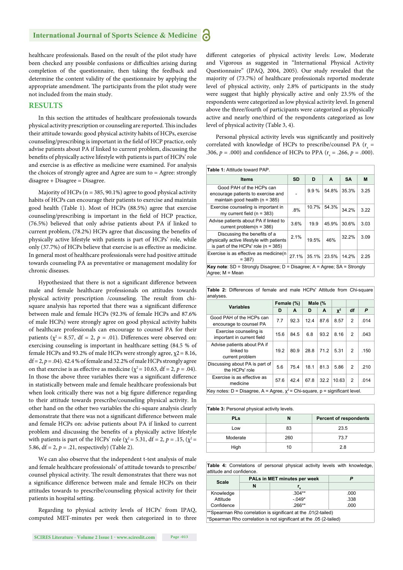healthcare professionals. Based on the result of the pilot study have been checked any possible confusions or difficulties arising during completion of the questionnaire, then taking the feedback and determine the content validity of the questionnaire by applying the appropriate amendment. The participants from the pilot study were not included from the main study.

#### **RESULTS**

In this section the attitudes of healthcare professionals towards physical activity prescription or counseling are reported. This includes their attitude towards: good physical activity habits of HCPs, exercise counseling/prescribing is important in the field of HCP practice, only advise patients about PA if linked to current problem, discussing the benefits of physically active lifestyle with patients is part of HCPs' role and exercise is as effective as medicine were examined. For analysis the choices of strongly agree and Agree are sum to = Agree: strongly disagree + Disagree = Disagree.

Majority of HCPs ( $n = 385, 90.1\%$ ) agree to good physical activity habits of HCPs can encourage their patients to exercise and maintain good health (Table 1). Most of HCPs (88.5%) agree that exercise counseling/prescribing is important in the field of HCP practice, (76.5%) believed that only advise patients about PA if linked to current problem, (78.2%) HCPs agree that discussing the benefits of physically active lifestyle with patients is part of HCPs' role, while only (37.7%) of HCPs believe that exercise is as effective as medicine. In general most of healthcare professionals were had positive attitude towards counseling PA as preventative or management modality for chronic diseases.

Hypothesized that there is not a significant difference between male and female healthcare professionals on attitudes towards physical activity prescription /counseling. The result from chisquare analysis has reported that there was a significant difference between male and female HCPs (92.3% of female HCPs and 87.6% of male HCPs) were strongly agree on good physical activity habits of healthcare professionals can encourage to counsel PA for their patients ( $\chi^2$  = 8.57, df = 2,  $p$  = .01). Differences were observed on: exercising counseling is important in healthcare setting (84.5 % of female HCPs and 93.2% of male HCPs were strongly agree,  $\chi$ 2 = 8.16,  $df = 2$ ,  $p = .04$ ). 42.4 % of female and 32.2% of male HCPs strongly agree on that exercise is as effective as medicine ( $\chi^2$  = 10.63, df = 2, *p* = .04). In those the above three variables there was a significant difference in statistically between male and female healthcare professionals but when look critically there was not a big figure difference regarding to their attitude towards prescribe/counseling physical activity. In other hand on the other two variables the chi-square analysis clearly demonstrate that there was not a significant difference between male and female HCPs on: advise patients about PA if linked to current problem and discussing the benefits of a physically active lifestyle with patients is part of the HCPs' role ( $\chi^2$  = 5.31, df = 2, *p* = .15, ( $\chi^2$  = 5.86,  $df = 2$ ,  $p = .21$ , respectively) (Table 2).

We can also observe that the independent t-test analysis of male and female healthcare professionals' of attitude towards to prescribe/ counsel physical activity. The result demonstrates that there was not a significance difference between male and female HCPs on their attitudes towards to prescribe/counseling physical activity for their patients in hospital setting.

Regarding to physical activity levels of HCPs' from IPAQ, computed MET-minutes per week then categorized in to three different categories of physical activity levels: Low, Moderate and Vigorous as suggested in "International Physical Activity Questionnaire" (IPAQ, 2004, 2005). Our study revealed that the majority of (73.7%) of healthcare professionals reported moderate level of physical activity, only 2.8% of participants in the study were suggest that highly physically active and only 23.5% of the respondents were categorized as low physical activity level. In general above the three/fourth of participants were categorized as physically active and nearly one/third of the respondents categorized as low level of physical activity (Table 3, 4).

Personal physical activity levels was significantly and positively correlated with knowledge of HCPs to prescribe/counsel PA  $(r_s =$ .306,  $p = .000$ ) and confidence of HCPs to PPA ( $r_s = .266$ ,  $p = .000$ ).

| <b>Table 1: Attitude toward PAP.</b>                                                                               |       |       |       |           |      |
|--------------------------------------------------------------------------------------------------------------------|-------|-------|-------|-----------|------|
| ltems                                                                                                              | SD    | D     | A     | <b>SA</b> | M    |
| Good PAH of the HCPs can<br>encourage patients to exercise and<br>maintain good health ( $n = 385$ )               |       | 9.9%  | 54.8% | 35.3%     | 3.25 |
| Exercise counseling is important in<br>my current field $(n = 383)$                                                | .8%   | 10.7% | 54.3% | 34.2%     | 3.22 |
| Advise patients about PA if linked to<br>current problem $(n = 386)$                                               | 3.6%  | 19.9  | 45.9% | 30.6%     | 3.03 |
| Discussing the benefits of a<br>physically active lifestyle with patients<br>is part of the HCPs' role $(n = 385)$ | 2.1%  | 19.5% | 46%   | 32.2%     | 3.09 |
| Exercise is as effective as medicine(n)<br>$= 387$                                                                 | 27 1% | 35.1% | 23.5% | 14.2%     | 2.25 |
| <b>Key note:</b> $SD =$ Strongly Disagree; $D =$ Disagree; $A =$ Agree; $SA =$ Strongly<br>Agree: M = Mean         |       |       |       |           |      |

|           | Table 2: Differences of female and male HCPs' Attitude from Chi-square |  |  |  |  |
|-----------|------------------------------------------------------------------------|--|--|--|--|
| analyses. |                                                                        |  |  |  |  |

| <b>Variables</b>                                                               | Female (%) |      | Male (% |      |                |               |      |
|--------------------------------------------------------------------------------|------------|------|---------|------|----------------|---------------|------|
|                                                                                | D          | A    | D       | A    | $\mathbf{X}^2$ | df            | P    |
| Good PAH of the HCPs can<br>encourage to counsel PA                            | 7.7        | 92.3 | 12.4    | 87.6 | 8.57           | 2             | .014 |
| Exercise counseling is<br>important in current field                           | 15.6       | 84.5 | 6.8     | 93.2 | 8.16           | 2             | .043 |
| Advise patients about PA if<br>linked to<br>current problem                    | 19.2       | 80.9 | 28.8    | 71.2 | 5.31           | $\mathcal{P}$ | .150 |
| Discussing about PA is part of<br>the HCPs' role                               | 5.6        | 75.4 | 18.1    | 81.3 | 5.86           | 2             | .210 |
| Exercise is as effective as<br>medicine                                        | 57.6       | 42.4 | 67.8    | 32.2 | 10.63          | 2             | .014 |
| Key notes: D = Disagree, A = Agree, $x^2$ = Chi-square, p = significant level. |            |      |         |      |                |               |      |

| Table 3: Personal physical activity levels. |     |                               |  |  |  |  |
|---------------------------------------------|-----|-------------------------------|--|--|--|--|
| <b>PLs</b>                                  | N   | <b>Percent of respondents</b> |  |  |  |  |
| Low                                         | 83  | 23.5                          |  |  |  |  |
| Moderate                                    | 260 | 73.7                          |  |  |  |  |
| High                                        | 10  | 2.8                           |  |  |  |  |
|                                             |     |                               |  |  |  |  |

**Table 4:** Correlations of personal physical activity levels with knowledge, attitude and confidence.

| Scale      |  | PALs in MET minutes per week |      |  |  |
|------------|--|------------------------------|------|--|--|
|            |  |                              |      |  |  |
| Knowledge  |  | $.304**$                     | .000 |  |  |
| Attitude   |  | $-.049*$                     | .338 |  |  |
| Confidence |  | 266**                        | .000 |  |  |
|            |  |                              |      |  |  |

\*\*Spearman Rho correlation is signifi cant at the .01(2-tailed) \*Spearman Rho correlation is not significant at the .05 (2-tailed)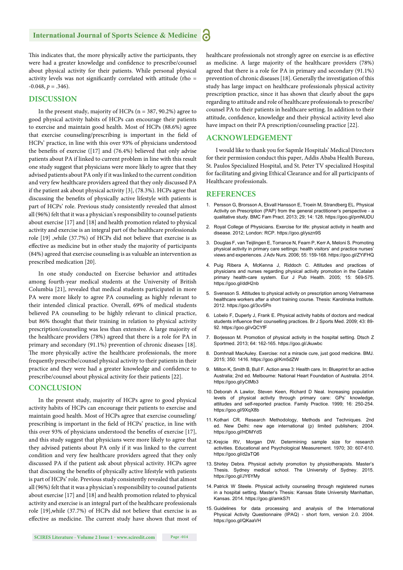#### **International Journal of Sports Science & Medicine**

This indicates that, the more physically active the participants, they were had a greater knowledge and confidence to prescribe/counsel about physical activity for their patients. While personal physical activity levels was not significantly correlated with attitude (rho =  $-0.048, p = .346$ ).

#### **DISCUSSION**

In the present study, majority of HCPs ( $n = 387, 90.2\%$ ) agree to good physical activity habits of HCPs can encourage their patients to exercise and maintain good health. Most of HCPs (88.6%) agree that exercise counseling/prescribing is important in the field of HCPs' practice, in line with this over 93% of physicians understood the benefits of exercise ( $[17]$  and  $(76.4%)$  believed that only advise patients about PA if linked to current problem in line with this result one study suggest that physicians were more likely to agree that they advised patients about PA only if it was linked to the current condition and very few healthcare providers agreed that they only discussed PA if the patient ask about physical activity [3], (78.3%). HCPs agree that discussing the benefits of physically active lifestyle with patients is part of HCPs' role. Previous study consistently revealed that almost all (96%) felt that it was a physician's responsibility to counsel patients about exercise [17] and [18] and health promotion related to physical activity and exercise is an integral part of the healthcare professionals role [19] ,while (37.7%) of HCPs did not believe that exercise is as effective as medicine but in other study the majority of participants (84%) agreed that exercise counseling is as valuable an intervention as prescribed medication [20].

In one study conducted on Exercise behavior and attitudes among fourth-year medical students at the University of British Columbia [21], revealed that medical students participated in more PA were more likely to agree PA counseling as highly relevant to their intended clinical practice. Overall, 69% of medical students believed PA counseling to be highly relevant to clinical practice, but 86% thought that their training in relation to physical activity prescription/counseling was less than extensive. A large majority of the healthcare providers (78%) agreed that there is a role for PA in primary and secondary (91.1%) prevention of chronic diseases [18]. The more physically active the healthcare professionals, the more frequently prescribe/counsel physical activity to their patients in their practice and they were had a greater knowledge and confidence to prescribe/counsel about physical activity for their patients [22].

#### **CONCLUSION**

In the present study, majority of HCPs agree to good physical activity habits of HCPs can encourage their patients to exercise and maintain good health. Most of HCPs agree that exercise counseling/ prescribing is important in the field of HCPs' practice, in line with this over 93% of physicians understood the benefits of exercise [17], and this study suggest that physicians were more likely to agree that they advised patients about PA only if it was linked to the current condition and very few healthcare providers agreed that they only discussed PA if the patient ask about physical activity. HCPs agree that discussing the benefits of physically active lifestyle with patients is part of HCPs' role. Previous study consistently revealed that almost all (96%) felt that it was a physician's responsibility to counsel patients about exercise [17] and [18] and health promotion related to physical activity and exercise is an integral part of the healthcare professionals role [19],while (37.7%) of HCPs did not believe that exercise is as effective as medicine. The current study have shown that most of healthcare professionals not strongly agree on exercise is as effective as medicine. A large majority of the healthcare providers (78%) agreed that there is a role for PA in primary and secondary (91.1%) prevention of chronic diseases [18]. Generally the investigation of this study has large impact on healthcare professionals physical activity prescription practice, since it has shown that clearly about the gaps regarding to attitude and role of healthcare professionals to prescribe/ counsel PA to their patients in healthcare setting. In addition to their attitude, confidence, knowledge and their physical activity level also have impact on their PA prescription/counseling practice [22].

#### **ACKNOWLEDGEMENT**

I would like to thank you for Sapmle Hospitals' Medical Directors for their permission conduct this paper, Addis Ababa Health Bureau, St. Paulos Specialized Hospital, and St. Peter TV specialized Hospital for facilitating and giving Ethical Clearance and for all participants of Healthcare professionals.

#### **REFERENCES**

- 1. Persson G, Brorsson A, Ekvall Hansson E, Troein M, Strandberg EL. Physical Activity on Prescription (PAP) from the general practitioner's perspective - a qualitative study. BMC Fam Pract. 2013; 29; 14: 128. https://goo.gl/pmNUDU
- 2. Royal College of Physicians. Exercise for life: physical activity in health and disease. 2012; London: RCP. https://goo.gl/yszn9S
- 3. Douglas F, van Teijlingen E, Torrance N, Fearn P, Kerr A, Meloni S. Promoting physical activity in primary care settings: health visitors' and practice nurses' views and experiences. J Adv Nurs. 2006; 55: 159-168. https://goo.gl/ZYiFHQ
- 4. Puig Ribera A, McKenna J, Riddoch C. Attitudes and practices of physicians and nurses regarding physical activity promotion in the Catalan primary health-care system. Eur J Pub Health. 2005; 15: 569-575. https://goo.gl/ddH2nb
- 5. Svensson S. Attitudes to physical activity on prescription among Vietnamese healthcare workers after a short training course. Thesis: Karolinska Institute. 2012. https://goo.gl/3cv5Pn
- 6. Lobelo F, Duperly J, Frank E. Physical activity habits of doctors and medical students influence their counselling practices. Br J Sports Med. 2009; 43: 89-92. https://goo.gl/vQCYfF
- 7. Borjesson M. Promotion of physical activity in the hospital setting. Dtsch Z Sportmed. 2013; 64: 162-165. https://goo.gl/Jkuwbc
- 8. Domhnall MacAuley. Exercise: not a miracle cure, just good medicine. BMJ. 2015; 350: 1416. https://goo.gl/Km5dZW
- 9. Milton K, Smith B, Bull F. Action area 3: Health care. In: Blueprint for an active Australia; 2nd ed. Melbourne: National Heart Foundation of Australia. 2014. https://goo.gl/yCtMb3
- 10. Deborah A Lawlor, Steven Keen, Richard D Neal. Increasing population levels of physical activity through primary care: GPs' knowledge, attitudes and self-reported practice. Family Practice. 1999; 16: 250-254. https://goo.gl/9XqX8b
- 11. Kothari CR. Research Methodology, Methods and Techniques. 2nd ed. New Delhi: new age international (p) limited publishers; 2004. https://goo.gl/HDMYdS
- 12. Krejcie RV, Morgan DW. Determining sample size for research activities. Educational and Psychological Measurement. 1970; 30: 607-610. https://goo.gl/d2aTQ6
- 13. Shirley Debra. Physical activity promotion by physiotherapists. Master's Thesis. Sydney medical school. The University of Sydney. 2015. https://goo.gl/JY6YMy
- 14. Patrick W Steele. Physical activity counseling through registered nurses in a hospital setting. Master's Thesis: Kansas State University Manhattan, Kansas. 2014. https://goo.gl/amkS7t
- 15. Guidelines for data processing and analysis of the International Physical Activity Questionnaire (IPAQ) - short form, version 2.0. 2004. https://goo.gl/QKaaVH